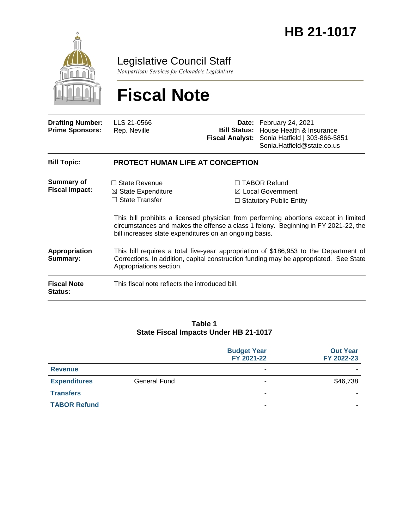

Legislative Council Staff

*Nonpartisan Services for Colorado's Legislature*

# **Fiscal Note**

| <b>Drafting Number:</b><br><b>Prime Sponsors:</b> | LLS 21-0566<br>Rep. Neville                                                                                                                                                                              |  | Date: February 24, 2021<br><b>Bill Status:</b> House Health & Insurance<br>Fiscal Analyst: Sonia Hatfield   303-866-5851<br>Sonia.Hatfield@state.co.us                                                                                                              |  |
|---------------------------------------------------|----------------------------------------------------------------------------------------------------------------------------------------------------------------------------------------------------------|--|---------------------------------------------------------------------------------------------------------------------------------------------------------------------------------------------------------------------------------------------------------------------|--|
| <b>Bill Topic:</b>                                | <b>PROTECT HUMAN LIFE AT CONCEPTION</b>                                                                                                                                                                  |  |                                                                                                                                                                                                                                                                     |  |
| <b>Summary of</b><br><b>Fiscal Impact:</b>        | $\Box$ State Revenue<br>$\boxtimes$ State Expenditure<br>$\Box$ State Transfer<br>bill increases state expenditures on an ongoing basis.                                                                 |  | $\Box$ TABOR Refund<br>$\boxtimes$ Local Government<br>$\Box$ Statutory Public Entity<br>This bill prohibits a licensed physician from performing abortions except in limited<br>circumstances and makes the offense a class 1 felony. Beginning in FY 2021-22, the |  |
| Appropriation<br>Summary:                         | This bill requires a total five-year appropriation of \$186,953 to the Department of<br>Corrections. In addition, capital construction funding may be appropriated. See State<br>Appropriations section. |  |                                                                                                                                                                                                                                                                     |  |
| <b>Fiscal Note</b><br><b>Status:</b>              | This fiscal note reflects the introduced bill.                                                                                                                                                           |  |                                                                                                                                                                                                                                                                     |  |

#### **Table 1 State Fiscal Impacts Under HB 21-1017**

|                     |                     | <b>Budget Year</b><br>FY 2021-22 | <b>Out Year</b><br>FY 2022-23 |
|---------------------|---------------------|----------------------------------|-------------------------------|
| <b>Revenue</b>      |                     | $\blacksquare$                   |                               |
| <b>Expenditures</b> | <b>General Fund</b> | ۰                                | \$46,738                      |
| <b>Transfers</b>    |                     | -                                |                               |
| <b>TABOR Refund</b> |                     | -                                | -                             |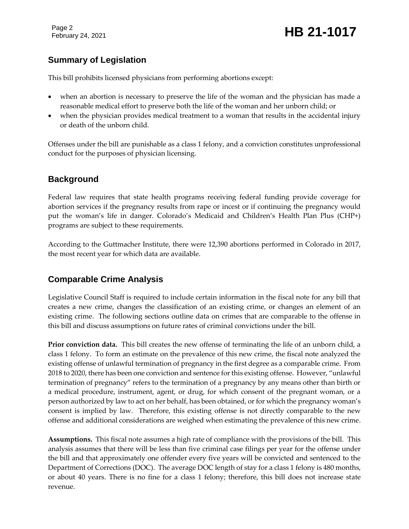## February 24, 2021 **HB 21-1017**

## **Summary of Legislation**

This bill prohibits licensed physicians from performing abortions except:

- when an abortion is necessary to preserve the life of the woman and the physician has made a reasonable medical effort to preserve both the life of the woman and her unborn child; or
- when the physician provides medical treatment to a woman that results in the accidental injury or death of the unborn child.

Offenses under the bill are punishable as a class 1 felony, and a conviction constitutes unprofessional conduct for the purposes of physician licensing.

## **Background**

Federal law requires that state health programs receiving federal funding provide coverage for abortion services if the pregnancy results from rape or incest or if continuing the pregnancy would put the woman's life in danger. Colorado's Medicaid and Children's Health Plan Plus (CHP+) programs are subject to these requirements.

According to the Guttmacher Institute, there were 12,390 abortions performed in Colorado in 2017, the most recent year for which data are available.

## **Comparable Crime Analysis**

Legislative Council Staff is required to include certain information in the fiscal note for any bill that creates a new crime, changes the classification of an existing crime, or changes an element of an existing crime. The following sections outline data on crimes that are comparable to the offense in this bill and discuss assumptions on future rates of criminal convictions under the bill.

**Prior conviction data.** This bill creates the new offense of terminating the life of an unborn child, a class 1 felony. To form an estimate on the prevalence of this new crime, the fiscal note analyzed the existing offense of unlawful termination of pregnancy in the first degree as a comparable crime. From 2018 to 2020, there has been one conviction and sentence for this existing offense. However, "unlawful termination of pregnancy" refers to the termination of a pregnancy by any means other than birth or a medical procedure, instrument, agent, or drug, for which consent of the pregnant woman, or a person authorized by law to act on her behalf, has been obtained, or for which the pregnancy woman's consent is implied by law. Therefore, this existing offense is not directly comparable to the new offense and additional considerations are weighed when estimating the prevalence of this new crime.

**Assumptions.** This fiscal note assumes a high rate of compliance with the provisions of the bill. This analysis assumes that there will be less than five criminal case filings per year for the offense under the bill and that approximately one offender every five years will be convicted and sentenced to the Department of Corrections (DOC). The average DOC length of stay for a class 1 felony is 480 months, or about 40 years. There is no fine for a class 1 felony; therefore, this bill does not increase state revenue.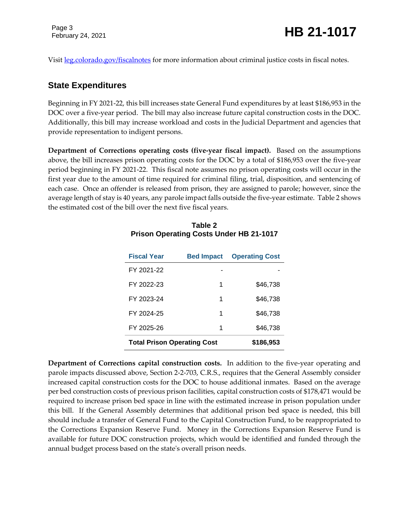Visit <u>leg.colorado.gov/fiscalnotes</u> for more information about criminal justice costs in fiscal notes.

#### **State Expenditures**

Beginning in FY 2021-22, this bill increases state General Fund expenditures by at least \$186,953 in the DOC over a five-year period. The bill may also increase future capital construction costs in the DOC. Additionally, this bill may increase workload and costs in the Judicial Department and agencies that provide representation to indigent persons.

**Department of Corrections operating costs (five-year fiscal impact).** Based on the assumptions above, the bill increases prison operating costs for the DOC by a total of \$186,953 over the five-year period beginning in FY 2021-22. This fiscal note assumes no prison operating costs will occur in the first year due to the amount of time required for criminal filing, trial, disposition, and sentencing of each case. Once an offender is released from prison, they are assigned to parole; however, since the average length of stay is 40 years, any parole impact falls outside the five-year estimate. Table 2 shows the estimated cost of the bill over the next five fiscal years.

| <b>Fiscal Year</b>                 | <b>Bed Impact</b> | <b>Operating Cost</b> |
|------------------------------------|-------------------|-----------------------|
| FY 2021-22                         |                   |                       |
| FY 2022-23                         | 1                 | \$46,738              |
| FY 2023-24                         | 1                 | \$46,738              |
| FY 2024-25                         | 1                 | \$46,738              |
| FY 2025-26                         | 1                 | \$46,738              |
| <b>Total Prison Operating Cost</b> | \$186,953         |                       |

#### **Table 2 Prison Operating Costs Under HB 21-1017**

**Department of Corrections capital construction costs.** In addition to the five-year operating and parole impacts discussed above, Section 2-2-703, C.R.S., requires that the General Assembly consider increased capital construction costs for the DOC to house additional inmates. Based on the average per bed construction costs of previous prison facilities, capital construction costs of \$178,471 would be required to increase prison bed space in line with the estimated increase in prison population under this bill. If the General Assembly determines that additional prison bed space is needed, this bill should include a transfer of General Fund to the Capital Construction Fund, to be reappropriated to the Corrections Expansion Reserve Fund. Money in the Corrections Expansion Reserve Fund is available for future DOC construction projects, which would be identified and funded through the annual budget process based on the state's overall prison needs.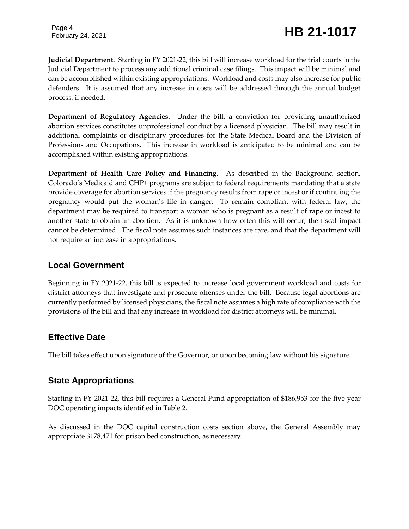## February 24, 2021 **HB 21-1017**

**Judicial Department***.* Starting in FY 2021-22, this bill will increase workload for the trial courts in the Judicial Department to process any additional criminal case filings. This impact will be minimal and can be accomplished within existing appropriations. Workload and costs may also increase for public defenders. It is assumed that any increase in costs will be addressed through the annual budget process, if needed.

**Department of Regulatory Agencies**. Under the bill, a conviction for providing unauthorized abortion services constitutes unprofessional conduct by a licensed physician. The bill may result in additional complaints or disciplinary procedures for the State Medical Board and the Division of Professions and Occupations. This increase in workload is anticipated to be minimal and can be accomplished within existing appropriations.

**Department of Health Care Policy and Financing.** As described in the Background section, Colorado's Medicaid and CHP+ programs are subject to federal requirements mandating that a state provide coverage for abortion services if the pregnancy results from rape or incest or if continuing the pregnancy would put the woman's life in danger. To remain compliant with federal law, the department may be required to transport a woman who is pregnant as a result of rape or incest to another state to obtain an abortion. As it is unknown how often this will occur, the fiscal impact cannot be determined. The fiscal note assumes such instances are rare, and that the department will not require an increase in appropriations.

### **Local Government**

Beginning in FY 2021-22, this bill is expected to increase local government workload and costs for district attorneys that investigate and prosecute offenses under the bill. Because legal abortions are currently performed by licensed physicians, the fiscal note assumes a high rate of compliance with the provisions of the bill and that any increase in workload for district attorneys will be minimal.

### **Effective Date**

The bill takes effect upon signature of the Governor, or upon becoming law without his signature.

## **State Appropriations**

Starting in FY 2021-22, this bill requires a General Fund appropriation of \$186,953 for the five-year DOC operating impacts identified in Table 2.

As discussed in the DOC capital construction costs section above, the General Assembly may appropriate \$178,471 for prison bed construction, as necessary.